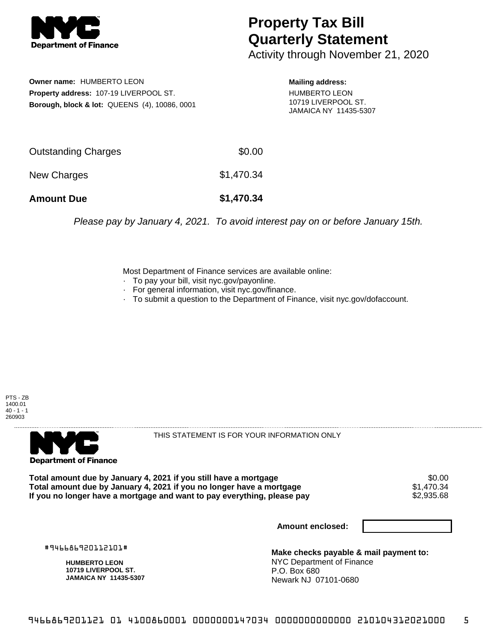

## **Property Tax Bill Quarterly Statement**

Activity through November 21, 2020

**Owner name:** HUMBERTO LEON **Property address:** 107-19 LIVERPOOL ST. **Borough, block & lot:** QUEENS (4), 10086, 0001

**Mailing address:** HUMBERTO LEON 10719 LIVERPOOL ST. JAMAICA NY 11435-5307

| <b>Amount Due</b>   | \$1,470.34 |
|---------------------|------------|
| New Charges         | \$1,470.34 |
| Outstanding Charges | \$0.00     |

Please pay by January 4, 2021. To avoid interest pay on or before January 15th.

Most Department of Finance services are available online:

- · To pay your bill, visit nyc.gov/payonline.
- For general information, visit nyc.gov/finance.
- · To submit a question to the Department of Finance, visit nyc.gov/dofaccount.





THIS STATEMENT IS FOR YOUR INFORMATION ONLY

Total amount due by January 4, 2021 if you still have a mortgage \$0.00<br>Total amount due by January 4, 2021 if you no longer have a mortgage \$1.470.34 **Total amount due by January 4, 2021 if you no longer have a mortgage**  $$1,470.34$ **<br>If you no longer have a mortgage and want to pay everything, please pay**  $$2,935.68$ If you no longer have a mortgage and want to pay everything, please pay

**Amount enclosed:**

#946686920112101#

**HUMBERTO LEON 10719 LIVERPOOL ST. JAMAICA NY 11435-5307**

**Make checks payable & mail payment to:** NYC Department of Finance P.O. Box 680 Newark NJ 07101-0680